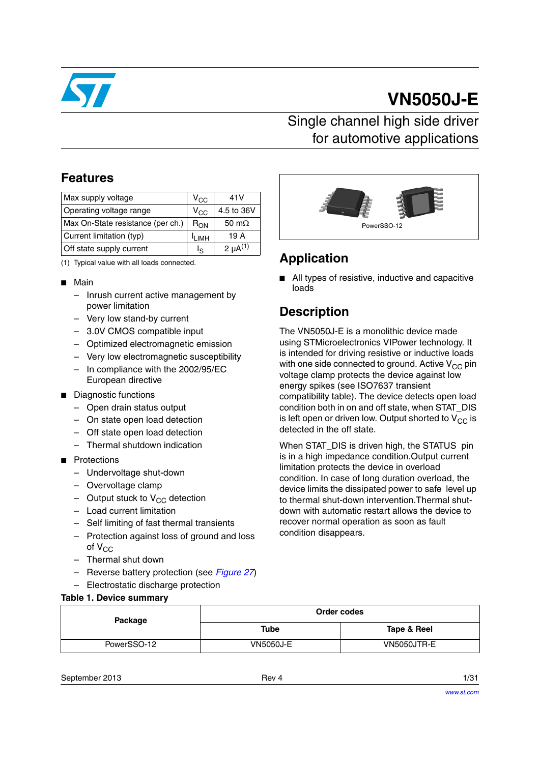

# **VN5050J-E**

### Single channel high side driver for automotive applications

### **Features**

| Max supply voltage                | $V_{\rm CC}$ | 41V             |
|-----------------------------------|--------------|-----------------|
| Operating voltage range           | $V_{\rm CC}$ | 4.5 to 36V      |
| Max On-State resistance (per ch.) | $R_{ON}$     | 50 m $\Omega$   |
| Current limitation (typ)          | <b>ILIMH</b> | 19 A            |
| Off state supply current          | ls           | $2 \mu A^{(1)}$ |

(1) Typical value with all loads connected.

#### ■ Main

- Inrush current active management by power limitation
- Very low stand-by current
- 3.0V CMOS compatible input
- Optimized electromagnetic emission
- Very low electromagnetic susceptibility
- In compliance with the 2002/95/EC European directive
- Diagnostic functions
	- Open drain status output
	- On state open load detection
	- Off state open load detection
	- Thermal shutdown indication
- Protections
	- Undervoltage shut-down
	- Overvoltage clamp
	- Output stuck to  $V_{CC}$  detection
	- Load current limitation
	- Self limiting of fast thermal transients
	- Protection against loss of ground and loss of  $V_{CC}$
	- Thermal shut down
	- Reverse battery protection (see *[Figure 27](#page-19-0)*)
	- Electrostatic discharge protection

#### **Table 1. Device summary**



### **Application**

■ All types of resistive, inductive and capacitive loads

### **Description**

The VN5050J-E is a monolithic device made using STMicroelectronics VIPower technology. It is intended for driving resistive or inductive loads with one side connected to ground. Active  $V_{CC}$  pin voltage clamp protects the device against low energy spikes (see ISO7637 transient compatibility table). The device detects open load condition both in on and off state, when STAT\_DIS is left open or driven low. Output shorted to  $V_{CC}$  is detected in the off state.

When STAT\_DIS is driven high, the STATUS pin is in a high impedance condition.Output current limitation protects the device in overload condition. In case of long duration overload, the device limits the dissipated power to safe level up to thermal shut-down intervention.Thermal shutdown with automatic restart allows the device to recover normal operation as soon as fault condition disappears.

| Package     | Order codes      |             |  |
|-------------|------------------|-------------|--|
|             | Tube             | Tape & Reel |  |
| PowerSSO-12 | <b>VN5050J-E</b> | VN5050JTR-E |  |

September 2013 **Rev 4** 1/31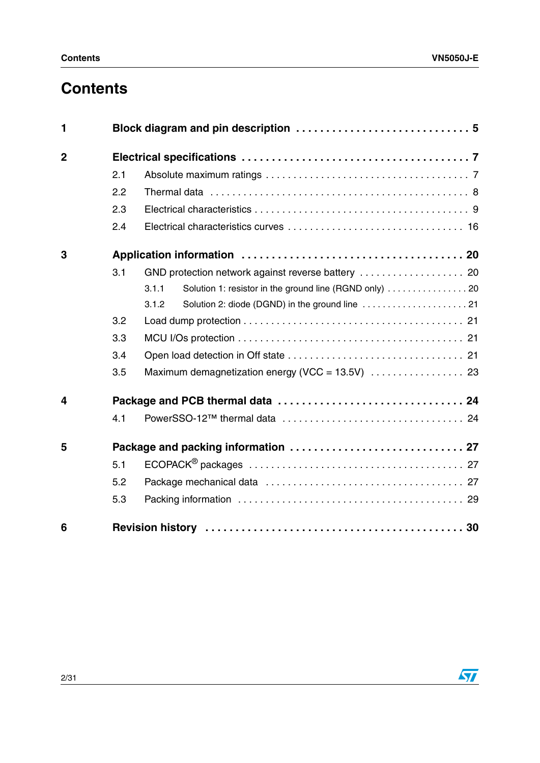# **Contents**

| 1              |     |                                                                 |
|----------------|-----|-----------------------------------------------------------------|
| $\overline{2}$ |     |                                                                 |
|                | 2.1 |                                                                 |
|                | 2.2 |                                                                 |
|                | 2.3 |                                                                 |
|                | 2.4 |                                                                 |
| 3              |     |                                                                 |
|                | 3.1 |                                                                 |
|                |     | Solution 1: resistor in the ground line (RGND only) 20<br>3.1.1 |
|                |     | 3.1.2                                                           |
|                | 3.2 |                                                                 |
|                | 3.3 |                                                                 |
|                | 3.4 |                                                                 |
|                | 3.5 |                                                                 |
| 4              |     |                                                                 |
|                | 4.1 |                                                                 |
| 5              |     |                                                                 |
|                | 5.1 |                                                                 |
|                | 5.2 |                                                                 |
|                | 5.3 |                                                                 |
| 6              |     |                                                                 |

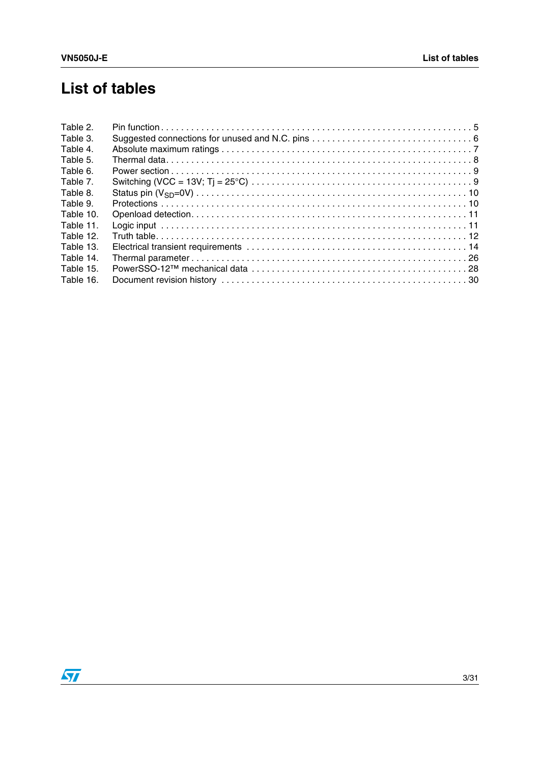# **List of tables**

| Table 2.  |  |
|-----------|--|
| Table 3.  |  |
| Table 4.  |  |
| Table 5.  |  |
| Table 6.  |  |
| Table 7.  |  |
| Table 8.  |  |
| Table 9.  |  |
| Table 10. |  |
| Table 11. |  |
| Table 12. |  |
| Table 13. |  |
| Table 14. |  |
| Table 15. |  |
| Table 16. |  |

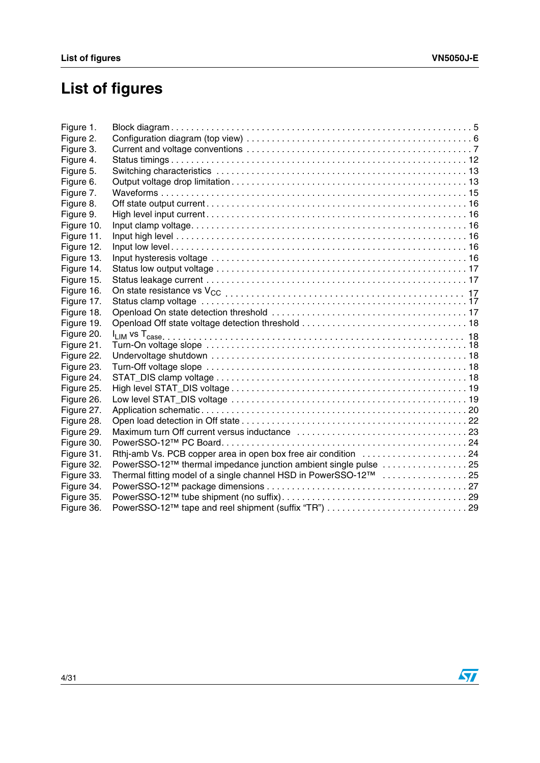# **List of figures**

| Thermal fitting model of a single channel HSD in PowerSSO-12™ 25 |                                                                                                                                   |
|------------------------------------------------------------------|-----------------------------------------------------------------------------------------------------------------------------------|
|                                                                  |                                                                                                                                   |
|                                                                  |                                                                                                                                   |
|                                                                  |                                                                                                                                   |
|                                                                  | Rthi-amb Vs. PCB copper area in open box free air condition 24<br>PowerSSO-12™ thermal impedance junction ambient single pulse 25 |

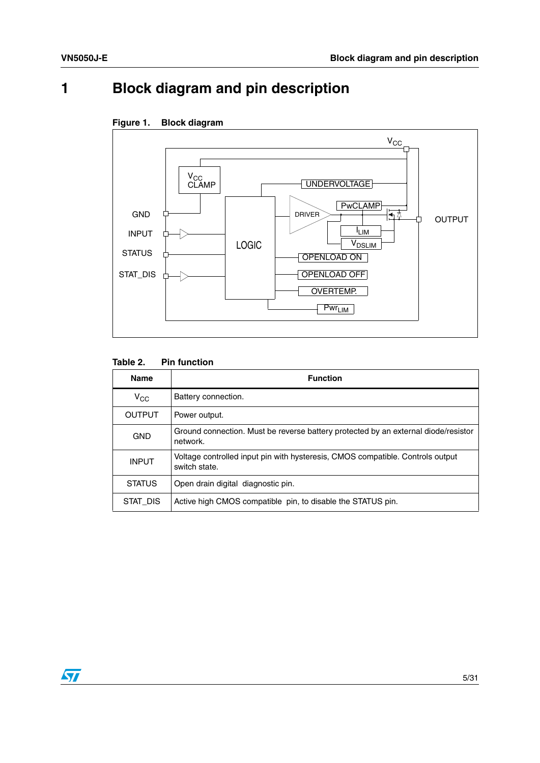# <span id="page-4-0"></span>**1 Block diagram and pin description**



### <span id="page-4-2"></span>**Figure 1. Block diagram**

#### <span id="page-4-1"></span>Table 2. **Pin function**

| <b>Name</b>   | <b>Function</b>                                                                                 |
|---------------|-------------------------------------------------------------------------------------------------|
| $V_{CC}$      | Battery connection.                                                                             |
| <b>OUTPUT</b> | Power output.                                                                                   |
| <b>GND</b>    | Ground connection. Must be reverse battery protected by an external diode/resistor<br>network.  |
| <b>INPUT</b>  | Voltage controlled input pin with hysteresis, CMOS compatible. Controls output<br>switch state. |
| <b>STATUS</b> | Open drain digital diagnostic pin.                                                              |
| STAT DIS      | Active high CMOS compatible pin, to disable the STATUS pin.                                     |

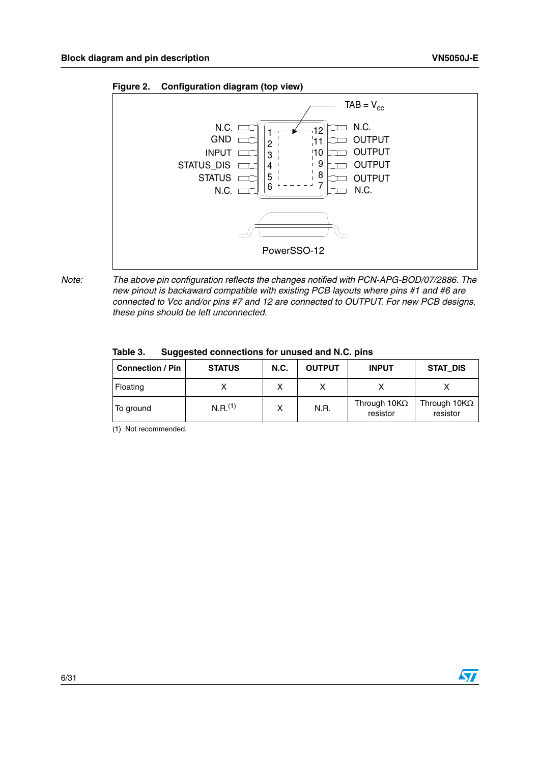

<span id="page-5-1"></span>**Figure 2. Configuration diagram (top view)** 

*Note: The above pin configuration reflects the changes notified with PCN-APG-BOD/07/2886. The new pinout is backaward compatible with existing PCB layouts where pins #1 and #6 are connected to Vcc and/or pins #7 and 12 are connected to OUTPUT. For new PCB designs, these pins should be left unconnected.*

<span id="page-5-0"></span>

| Table 3. | Suggested connections for unused and N.C. pins |  |
|----------|------------------------------------------------|--|
|----------|------------------------------------------------|--|

| <b>Connection / Pin</b> | <b>STATUS</b>         | <b>N.C.</b> | <b>OUTPUT</b> | <b>INPUT</b>                     | STAT DIS                         |
|-------------------------|-----------------------|-------------|---------------|----------------------------------|----------------------------------|
| Floating                |                       |             |               |                                  |                                  |
| To ground               | $N.R.$ <sup>(1)</sup> | x           | N.R.          | Through 10K $\Omega$<br>resistor | Through 10K $\Omega$<br>resistor |

(1) Not recommended.

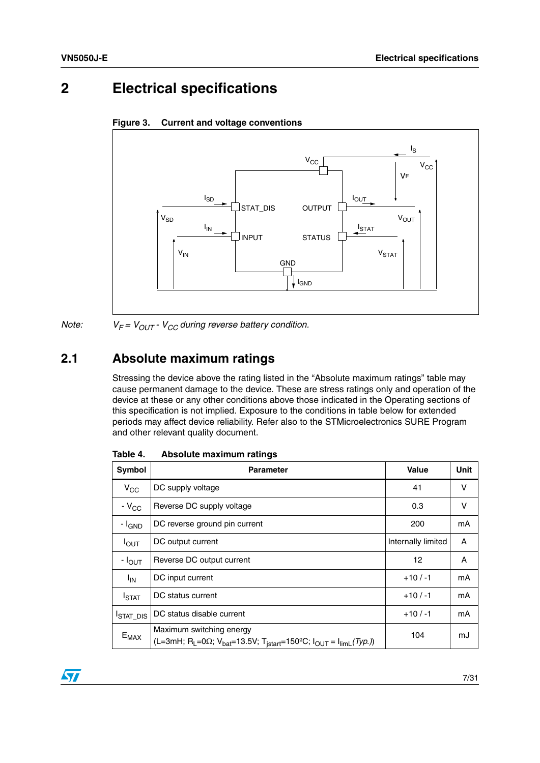### <span id="page-6-0"></span>**2 Electrical specifications**

<span id="page-6-3"></span>



*Note:*  $V_F = V_{OUT} - V_{CC}$  during reverse battery condition.

## <span id="page-6-1"></span>**2.1 Absolute maximum ratings**

Stressing the device above the rating listed in the "Absolute maximum ratings" table may cause permanent damage to the device. These are stress ratings only and operation of the device at these or any other conditions above those indicated in the Operating sections of this specification is not implied. Exposure to the conditions in table below for extended periods may affect device reliability. Refer also to the STMicroelectronics SURE Program and other relevant quality document.

| Symbol             | <b>Parameter</b>                                                                                                                                                   | Value              | Unit |
|--------------------|--------------------------------------------------------------------------------------------------------------------------------------------------------------------|--------------------|------|
| $V_{\rm CC}$       | DC supply voltage                                                                                                                                                  | 41                 | v    |
| $-V_{CC}$          | Reverse DC supply voltage                                                                                                                                          | 0.3                | v    |
| - I <sub>GND</sub> | DC reverse ground pin current                                                                                                                                      | 200                | mA   |
| $I_{\text{OUT}}$   | DC output current                                                                                                                                                  | Internally limited | A    |
| - I <sub>OUT</sub> | Reverse DC output current                                                                                                                                          | 12                 | A    |
| $I_{IN}$           | DC input current                                                                                                                                                   | $+10/ -1$          | mA   |
| <b>I</b> STAT      | DC status current                                                                                                                                                  | $+10/ -1$          | mA   |
| <b>I</b> STAT_DIS  | DC status disable current                                                                                                                                          | $+10/ -1$          | mA   |
| $E_{MAX}$          | Maximum switching energy<br>(L=3mH; R <sub>L</sub> =0 $\Omega$ ; V <sub>bat</sub> =13.5V; T <sub>istart</sub> =150°C; I <sub>OUT</sub> = I <sub>limL</sub> (Typ.)) | 104                | mJ   |

<span id="page-6-2"></span>Table 4. **Absolute maximum ratings** 

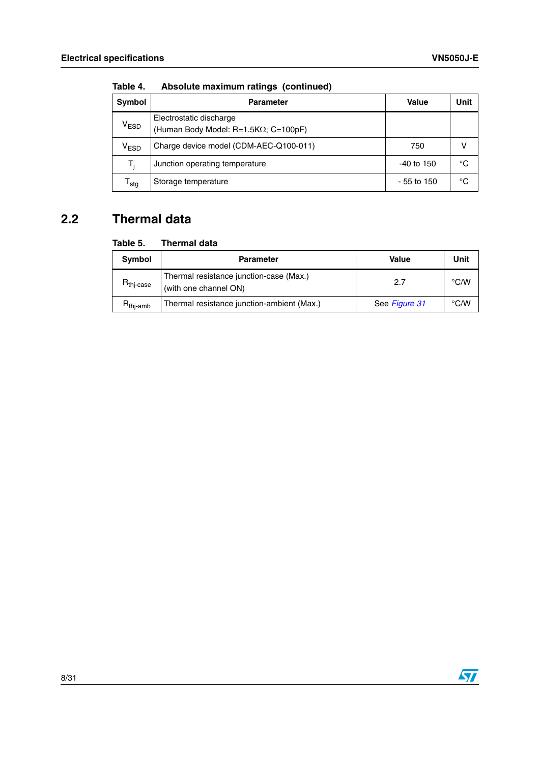| <b>Symbol</b>               | <b>Parameter</b>                                                | <b>Value</b> | Unit |
|-----------------------------|-----------------------------------------------------------------|--------------|------|
| $\mathsf{V}_{\mathsf{ESD}}$ | Electrostatic discharge<br>(Human Body Model: R=1.5KΩ; C=100pF) |              |      |
| V <sub>ESD</sub>            | Charge device model (CDM-AEC-Q100-011)                          | 750          |      |
| T:                          | Junction operating temperature                                  | $-40$ to 150 | °C   |
| ${\mathsf T}_{\text{stg}}$  | Storage temperature                                             | $-55$ to 150 | °C   |

**Table 4. Absolute maximum ratings (continued)**

## <span id="page-7-0"></span>**2.2 Thermal data**

#### <span id="page-7-1"></span>Table 5. **Thermal data**

| Symbol                         | <b>Parameter</b>                                                 | Value         | Unit |
|--------------------------------|------------------------------------------------------------------|---------------|------|
| $R_{\mathsf{thi}\text{-case}}$ | Thermal resistance junction-case (Max.)<br>(with one channel ON) | 2.7           | °C/W |
| R <sub>thj-amb</sub>           | Thermal resistance junction-ambient (Max.)                       | See Figure 31 | °C/W |

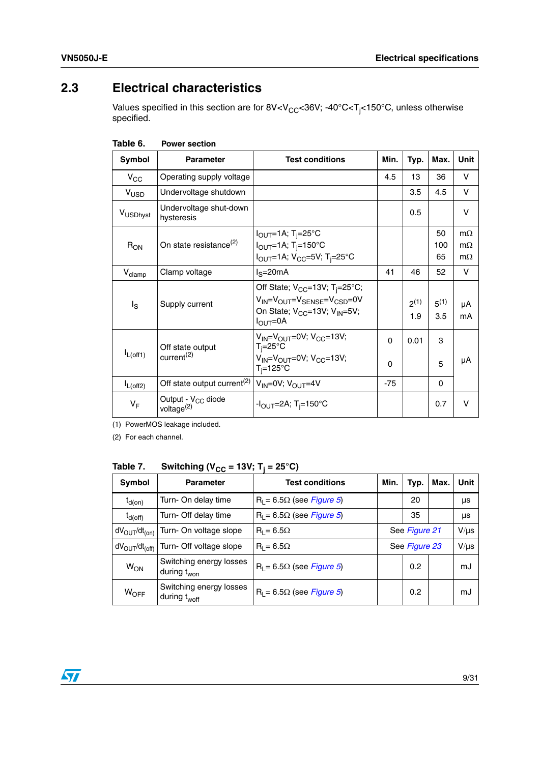### <span id="page-8-0"></span>**2.3 Electrical characteristics**

Values specified in this section are for 8V<V $_{\rm CC}$ <36V; -40°C<T<sub>j</sub><150°C, unless otherwise specified.

| <b>Symbol</b>      | <b>Parameter</b>                                                    | <b>Test conditions</b>                                                                                                                                                              | Min.          | Typ.             | Max.             | Unit                                |
|--------------------|---------------------------------------------------------------------|-------------------------------------------------------------------------------------------------------------------------------------------------------------------------------------|---------------|------------------|------------------|-------------------------------------|
| $V_{\rm CC}$       | Operating supply voltage                                            |                                                                                                                                                                                     | 4.5           | 13               | 36               | V                                   |
| V <sub>USD</sub>   | Undervoltage shutdown                                               |                                                                                                                                                                                     |               | 3.5              | 4.5              | V                                   |
| VUSDhyst           | Undervoltage shut-down<br>hysteresis                                |                                                                                                                                                                                     |               | 0.5              |                  | $\vee$                              |
| $R_{ON}$           | On state resistance <sup>(2)</sup>                                  | $I_{\text{OUT}}$ =1A; T <sub>i</sub> =25°C<br>$I_{\text{OUT}}=1$ A; T <sub>i</sub> =150°C<br>$I_{\text{OUT}} = 1$ A; V <sub>CC</sub> =5V; T <sub>i</sub> =25°C                      |               |                  | 50<br>100<br>65  | $m\Omega$<br>$m\Omega$<br>$m\Omega$ |
| $V_{\text{clamp}}$ | Clamp voltage                                                       | $IS=20mA$                                                                                                                                                                           | 41            | 46               | 52               | V                                   |
| ls                 | Supply current                                                      | Off State; $V_{CC} = 13V$ ; T <sub>i</sub> =25°C;<br>$V_{IN} = V_{OUT} = V_{SENSE} = V_{CSD} = 0V$<br>On State; V <sub>CC</sub> =13V; V <sub>IN</sub> =5V;<br>$I_{\text{OUT}} = 0A$ |               | $2^{(1)}$<br>1.9 | $5^{(1)}$<br>3.5 | μA<br>mA                            |
| $I_{L(off1)}$      | Off state output<br>current <sup>(2)</sup>                          | $V_{IN} = V_{OUIT} = 0V$ ; $V_{CC} = 13V$ ;<br>$T_i = 25^\circ C$<br>$V_{IN} = V_{OUT} = 0V$ ; $V_{CC} = 13V$ ;<br>$T_i = 125$ °C                                                   | $\Omega$<br>0 | 0.01             | 3<br>5           | μA                                  |
| $I_{L(off2)}$      | Off state output current <sup>(2)</sup> $V_{1N}$ =0V; $V_{OUT}$ =4V |                                                                                                                                                                                     | $-75$         |                  | $\Omega$         |                                     |
| $V_F$              | Output - V <sub>CC</sub> diode<br>voltage <sup>(2)</sup>            | $-I_{\rm OUT} = 2A$ ; T <sub>i</sub> =150°C                                                                                                                                         |               |                  | 0.7              | $\vee$                              |

<span id="page-8-1"></span>**Table 6. Power section** 

(1) PowerMOS leakage included.

(2) For each channel.

<span id="page-8-2"></span>Table 7. **Table 7.** Switching ( $V_{CC}$  = 13V; T<sub>j</sub> = 25°C)

| <b>Symbol</b>                          | <b>Parameter</b>                                    | <b>Test conditions</b>           | Min.<br>Typ.  |     | Max. | Unit      |
|----------------------------------------|-----------------------------------------------------|----------------------------------|---------------|-----|------|-----------|
| $t_{d(on)}$                            | Turn- On delay time                                 | $R_1 = 6.5\Omega$ (see Figure 5) | 20            |     |      | μs        |
| $t_{d(off)}$                           | Turn- Off delay time                                | $R_1 = 6.5\Omega$ (see Figure 5) | 35            |     |      | μs        |
| $dV_{\text{OUT}}/dt_{\text{(on)}}$     | Turn- On voltage slope                              | $R_1 = 6.5\Omega$                | See Figure 21 |     |      | $V/\mu s$ |
| dV <sub>OUT</sub> /dt <sub>(off)</sub> | Turn- Off voltage slope                             | $R_1 = 6.5\Omega$                | See Figure 23 |     |      | $V/\mu s$ |
| <b>W<sub>ON</sub></b>                  | Switching energy losses<br>during t <sub>won</sub>  | $R_1 = 6.5\Omega$ (see Figure 5) |               | 0.2 |      | mJ        |
| $W_{\text{OFF}}$                       | Switching energy losses<br>during t <sub>woff</sub> | $R_L = 6.5\Omega$ (see Figure 5) | 0.2           |     |      | mJ        |

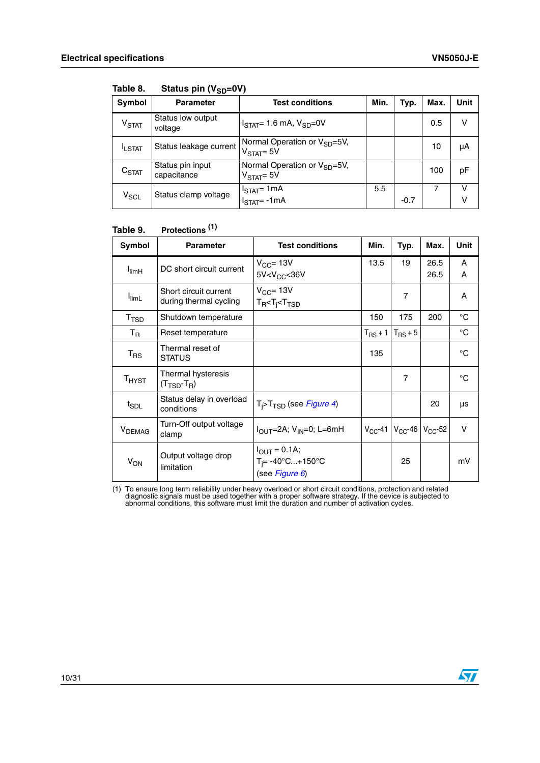| Symbol            | <b>Parameter</b>                | <b>Test conditions</b>                                   | Min. | Typ.   | Max. | Unit   |
|-------------------|---------------------------------|----------------------------------------------------------|------|--------|------|--------|
| V <sub>STAT</sub> | Status low output<br>voltage    | $ISTAT= 1.6$ mA, $VSD=0V$                                |      |        | 0.5  | v      |
| <b>ILSTAT</b>     | Status leakage current          | Normal Operation or $V_{SD} = 5V$ ,<br>$VSTAT = 5V$      |      |        | 10   | μA     |
| C <sub>STAT</sub> | Status pin input<br>capacitance | Normal Operation or V <sub>SD</sub> =5V,<br>$VSTAT = 5V$ |      |        | 100  | pF     |
| $V_{SCL}$         | Status clamp voltage            | $I_{\text{STAT}}$ = 1mA<br>$ISTAT=-1mA$                  | 5.5  | $-0.7$ |      | v<br>v |

<span id="page-9-0"></span>Table 8. **Status pin (V<sub>SD</sub>=0V)** 

#### <span id="page-9-1"></span>Table 9. **Table 9. Protections (1)**

| Symbol                       | <b>Parameter</b>                                      | <b>Test conditions</b>                                                   | Min.         | Typ.                                       | Max.         | <b>Unit</b> |
|------------------------------|-------------------------------------------------------|--------------------------------------------------------------------------|--------------|--------------------------------------------|--------------|-------------|
| $I_{\text{limH}}$            | DC short circuit current                              | $V_{CC}$ = 13V<br>5V < V <sub>CC</sub> < 36V                             | 13.5         | 19                                         | 26.5<br>26.5 | A<br>A      |
| $I_{\text{limL}}$            | Short circuit current<br>during thermal cycling       | $V_{CC}$ = 13V<br>$T_R < T_i < T_{TSD}$                                  |              | $\overline{7}$                             |              | A           |
| T <sub>TSD</sub>             | Shutdown temperature                                  |                                                                          | 150          | 175                                        | 200          | $^{\circ}C$ |
| $T_R$                        | Reset temperature                                     |                                                                          | $T_{RS}$ + 1 | $T_{RS}$ + 5                               |              | $^{\circ}C$ |
| $T_{RS}$                     | Thermal reset of<br><b>STATUS</b>                     |                                                                          | 135          |                                            |              | $^{\circ}C$ |
| $\mathsf{T}_{\mathsf{HYST}}$ | Thermal hysteresis<br>$(T_{\text{TSD}}-T_{\text{R}})$ |                                                                          |              | $\overline{7}$                             |              | $^{\circ}C$ |
| $t_{\scriptstyle\text{SDL}}$ | Status delay in overload<br>conditions                | $T_i$ >T <sub>TSD</sub> (see <i>Figure 4</i> )                           |              |                                            | 20           | μs          |
| <b>V</b> <sub>DEMAG</sub>    | Turn-Off output voltage<br>clamp                      | $I_{\text{OUT}}$ =2A; V <sub>IN</sub> =0; L=6mH                          |              | $V_{CC}$ -41   $V_{CC}$ -46   $V_{CC}$ -52 |              | V           |
| V <sub>ON</sub>              | Output voltage drop<br>limitation                     | $I_{OUT} = 0.1A;$<br>$T_i = -40^{\circ}C+150^{\circ}C$<br>(see Figure 6) |              | 25                                         |              | mV          |

(1) To ensure long term reliability under heavy overload or short circuit conditions, protection and related diagnostic signals must be used together with a proper software strategy. If the device is subjected to abnormal conditions, this software must limit the duration and number of activation cycles.

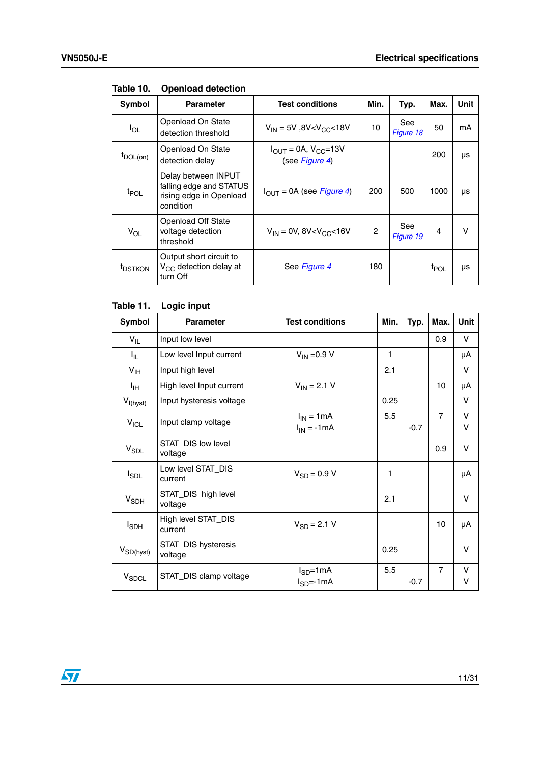| Symbol               | <b>Parameter</b>                                                                       | <b>Test conditions</b>                                       | Min.           | Typ.             | Max.             | Unit |
|----------------------|----------------------------------------------------------------------------------------|--------------------------------------------------------------|----------------|------------------|------------------|------|
| $I_{OL}$             | Openload On State<br>detection threshold                                               | $V_{IN}$ = 5V, 8V <v<sub>CC&lt;18V</v<sub>                   | 10             | See<br>Figure 18 | 50               | mA   |
| $t_{\text{DOL}(on)}$ | Openload On State<br>detection delay                                                   | $I_{\text{OUT}} = 0A, V_{\text{CC}} = 13V$<br>(see Figure 4) |                |                  | 200              | μs   |
| t <sub>POL</sub>     | Delay between INPUT<br>falling edge and STATUS<br>rising edge in Openload<br>condition | $I_{OUT} = 0A$ (see Figure 4)                                | 200            | 500              | 1000             | μs   |
| $V_{OL}$             | <b>Openload Off State</b><br>voltage detection<br>threshold                            | $V_{IN} = 0V$ , 8V < $V_{CC}$ < 16V                          | $\overline{c}$ | See<br>Figure 19 | $\overline{4}$   | v    |
| t <sub>DSTKON</sub>  | Output short circuit to<br>$V_{CC}$ detection delay at<br>turn Off                     | See Figure 4                                                 | 180            |                  | <sup>t</sup> POL | μs   |

#### <span id="page-10-0"></span>**Table 10. Openload detection**

#### <span id="page-10-1"></span>**Table 11. Logic input**

| Symbol            | <b>Parameter</b>               | <b>Test conditions</b>             | Min.         | Typ.   | Max.           | Unit        |
|-------------------|--------------------------------|------------------------------------|--------------|--------|----------------|-------------|
| $V_{IL}$          | Input low level                |                                    |              |        | 0.9            | $\vee$      |
| Ι'n.              | Low level Input current        | $V_{IN} = 0.9 V$                   | $\mathbf{1}$ |        |                | μA          |
| $V_{\text{IH}}$   | Input high level               |                                    | 2.1          |        |                | $\vee$      |
| ŀщ                | High level Input current       | $V_{IN} = 2.1 V$                   |              |        | 10             | μA          |
| $V_{I(hyst)}$     | Input hysteresis voltage       |                                    | 0.25         |        |                | V           |
| $V_{ICL}$         | Input clamp voltage            | $I_{IN}$ = 1 mA<br>$I_{IN} = -1mA$ | 5.5          | $-0.7$ | $\overline{7}$ | V<br>V      |
| $V_{SDL}$         | STAT_DIS low level<br>voltage  |                                    |              |        | 0.9            | $\vee$      |
| I <sub>SDL</sub>  | Low level STAT_DIS<br>current  | $V_{SD} = 0.9 V$                   | 1            |        |                | μA          |
| $V_{SDH}$         | STAT_DIS high level<br>voltage |                                    | 2.1          |        |                | V           |
| I <sub>SDH</sub>  | High level STAT_DIS<br>current | $V_{SD} = 2.1 V$                   |              |        | 10             | μA          |
| $V_{SD(hyst)}$    | STAT_DIS hysteresis<br>voltage |                                    | 0.25         |        |                | $\vee$      |
| V <sub>SDCL</sub> | STAT_DIS clamp voltage         | $I_{SD}$ =1mA<br>$I_{SD} = -1mA$   | 5.5          | $-0.7$ | $\overline{7}$ | $\vee$<br>v |

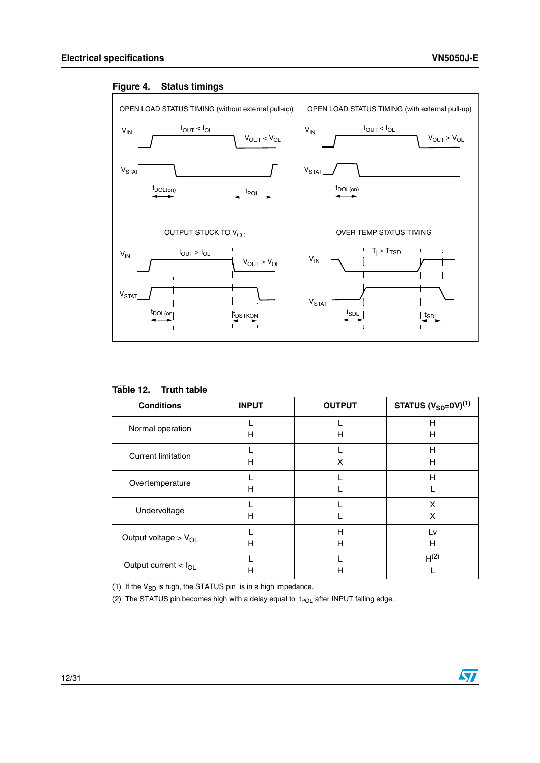

#### <span id="page-11-1"></span>**Figure 4. Status timings**

| <b>Conditions</b>         | <b>INPUT</b> | <b>OUTPUT</b> | STATUS $(V_{SD} = 0V)^{(1)}$ |
|---------------------------|--------------|---------------|------------------------------|
| Normal operation          |              |               | н                            |
|                           | н            | н             | н                            |
| <b>Current limitation</b> |              |               | н                            |
|                           | н            | X             | н                            |
| Overtemperature           |              |               | н                            |
|                           | н            |               |                              |
| Undervoltage              |              |               | X                            |
|                           | н            |               | X                            |
| Output voltage > $V_{OL}$ |              | Н             | Lv                           |
|                           | н            | Н             | н                            |
| Output current $< I_{OL}$ |              |               | H <sup>(2)</sup>             |
|                           | н            | Н             |                              |

#### <span id="page-11-0"></span>Table 12. **Truth table**

(1) If the  $V_{SD}$  is high, the STATUS pin is in a high impedance.

(2) The STATUS pin becomes high with a delay equal to  $t_{POL}$  after INPUT falling edge.

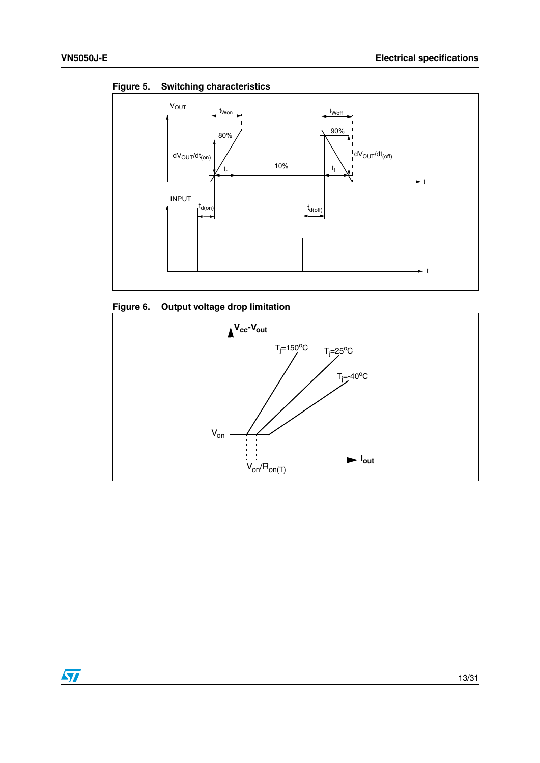

<span id="page-12-0"></span>

<span id="page-12-1"></span>



 $\sqrt{2}$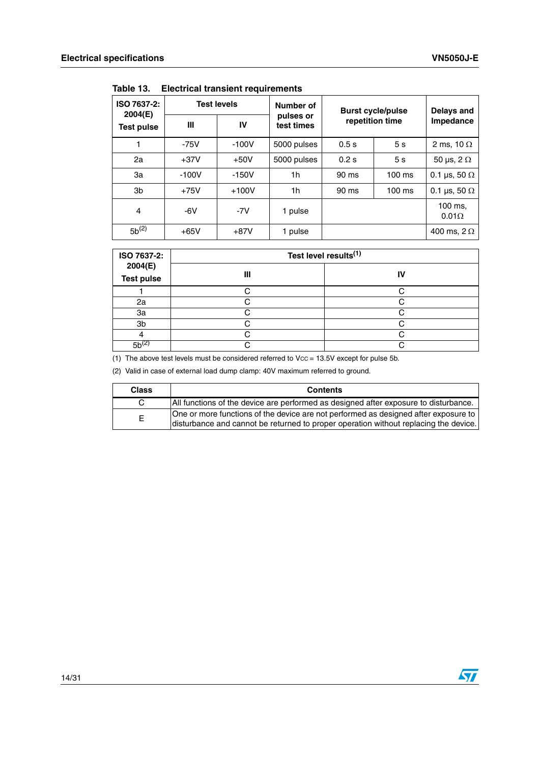| ISO 7637-2:<br>2004(E) | <b>Test levels</b> |         | Number of               | <b>Burst cycle/pulse</b> |                | Delays and              |
|------------------------|--------------------|---------|-------------------------|--------------------------|----------------|-------------------------|
| Test pulse             | Ш                  | IV      | pulses or<br>test times | repetition time          |                | Impedance               |
|                        | $-75V$             | $-100V$ | 5000 pulses             | 0.5s                     | 5s             | 2 ms, 10 $\Omega$       |
| 2a                     | $+37V$             | $+50V$  | 5000 pulses             | 0.2s                     | 5 <sub>s</sub> | 50 µs, $2 \Omega$       |
| За                     | $-100V$            | $-150V$ | 1 <sub>h</sub>          | 90 ms                    | $100$ ms       | 0.1 µs, 50 $\Omega$     |
| 3b                     | $+75V$             | $+100V$ | 1h                      | 90 ms                    | $100$ ms       | 0.1 µs, 50 $\Omega$     |
| 4                      | $-6V$              | $-7V$   | 1 pulse                 |                          |                | 100 ms.<br>$0.01\Omega$ |
| $5b^{(2)}$             | $+65V$             | $+87V$  | 1 pulse                 |                          |                | 400 ms, $2 \Omega$      |

<span id="page-13-0"></span>**Table 13. Electrical transient requirements**

| ISO 7637-2:                  | Test level results <sup>(1)</sup> |    |  |
|------------------------------|-----------------------------------|----|--|
| 2004(E)<br><b>Test pulse</b> | Ш                                 | IV |  |
|                              |                                   |    |  |
| 2a                           |                                   |    |  |
| 3a                           |                                   |    |  |
| 3b                           |                                   |    |  |
|                              |                                   |    |  |
| $5h^{2}$                     |                                   |    |  |

(1) The above test levels must be considered referred to  $Vcc = 13.5V$  except for pulse 5b.

(2) Valid in case of external load dump clamp: 40V maximum referred to ground.

| <b>Class</b> | <b>Contents</b>                                                                                                                                                             |
|--------------|-----------------------------------------------------------------------------------------------------------------------------------------------------------------------------|
|              | All functions of the device are performed as designed after exposure to disturbance.                                                                                        |
| F            | One or more functions of the device are not performed as designed after exposure to<br>disturbance and cannot be returned to proper operation without replacing the device. |

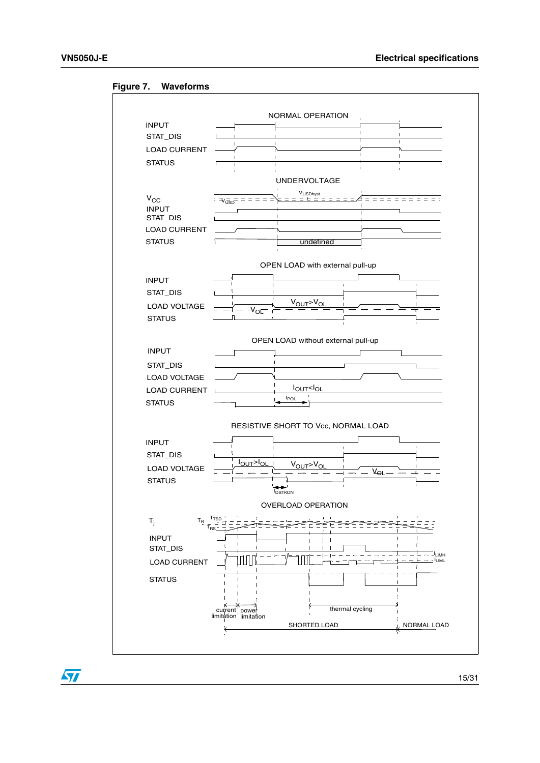

#### <span id="page-14-0"></span>**Figure 7. Waveforms**

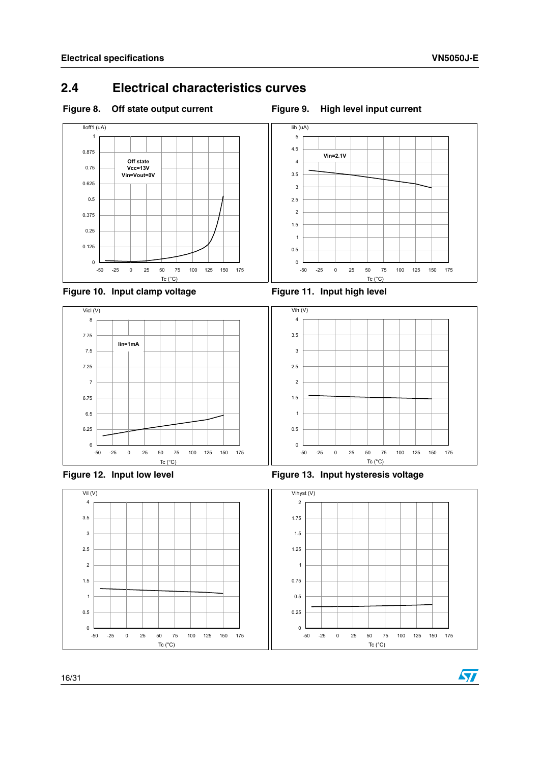### <span id="page-15-0"></span>**2.4 Electrical characteristics curves**

<span id="page-15-1"></span>

<span id="page-15-4"></span><span id="page-15-2"></span>



<span id="page-15-3"></span>







<span id="page-15-5"></span>Figure 12. Input low level **Figure 13. Input hysteresis voltage** 

<span id="page-15-6"></span>Tc (°C)

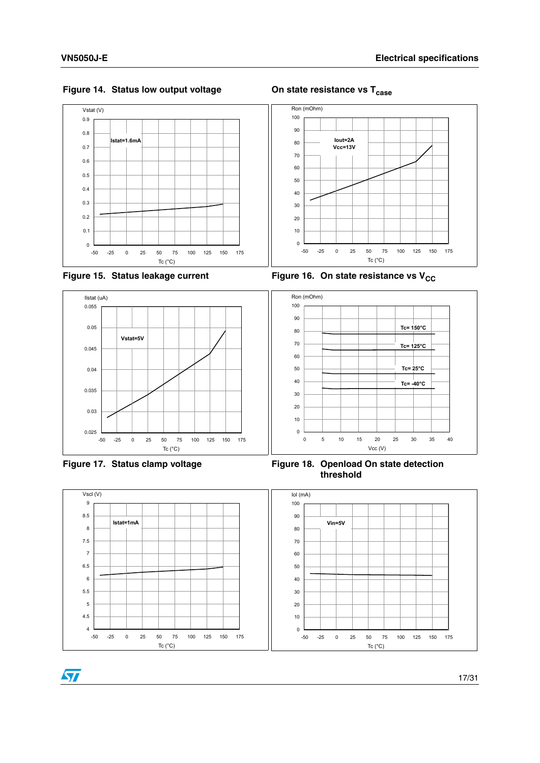

-50 -25 0 25 50 75 100 125 150 175 Tc (°C)

<span id="page-16-0"></span>Figure 14. Status low output voltage **On state resistance vs T<sub>case</sub>** 



<span id="page-16-1"></span>Figure 15. Status leakage current Figure 16. On state resistance vs V<sub>CC</sub>

Tc (°C)



<span id="page-16-4"></span>

<span id="page-16-3"></span>Figure 17. Status clamp voltage **Figure 18. Openload On state detection threshold**



<span id="page-16-2"></span>-50 -25 0 25 50 75 100 125 150 175

ST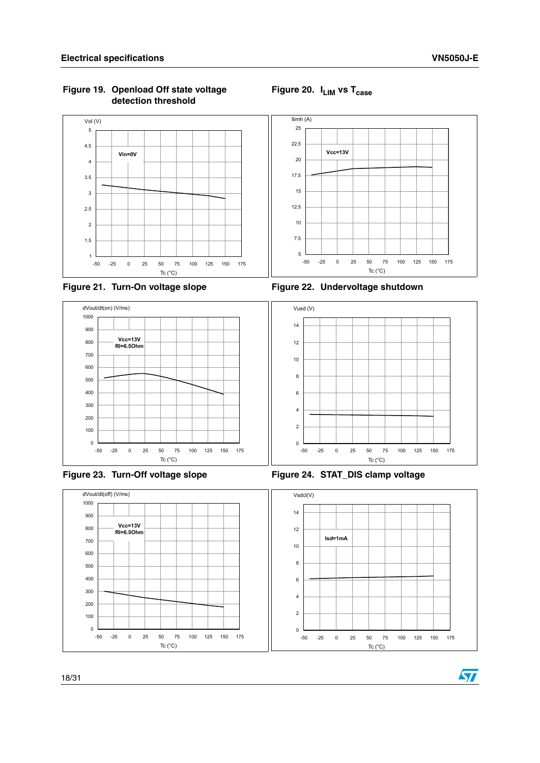#### <span id="page-17-0"></span>**Figure 19. Openload Off state voltage detection threshold**

<span id="page-17-1"></span>



<span id="page-17-2"></span>



<span id="page-17-4"></span>





<span id="page-17-5"></span><span id="page-17-3"></span>



57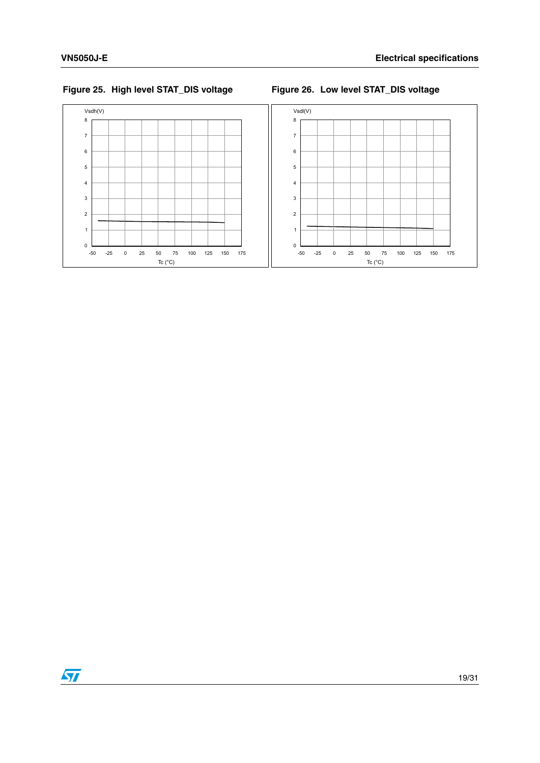<span id="page-18-1"></span><span id="page-18-0"></span>



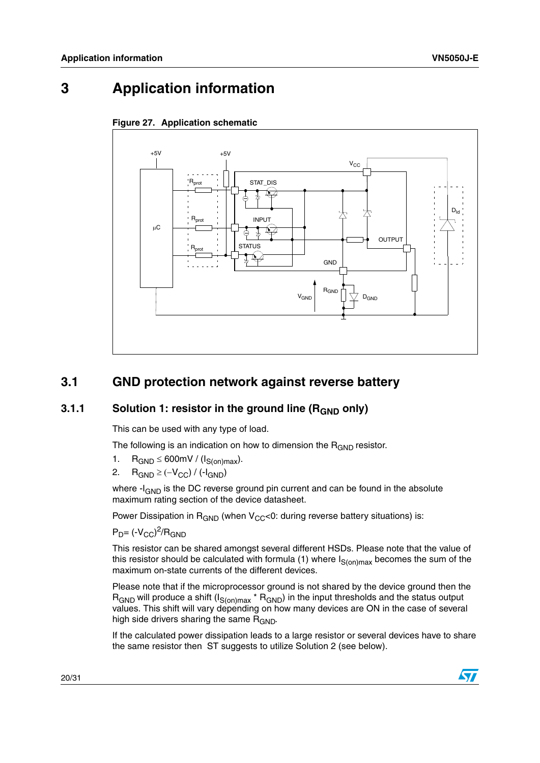## <span id="page-19-1"></span>**3 Application information**



### <span id="page-19-0"></span>**Figure 27. Application schematic**

### <span id="page-19-2"></span>**3.1 GND protection network against reverse battery**

### <span id="page-19-3"></span>**3.1.1** Solution 1: resistor in the ground line (R<sub>GND</sub> only)

This can be used with any type of load.

The following is an indication on how to dimension the  $R_{GND}$  resistor.

- 1.  $R_{GND} \leq 600$  mV / ( $I_{S(on)max}$ ).
- 2.  $R_{GND} \geq (-V_{CC}) / (-I_{GND})$

where  $-I_{GND}$  is the DC reverse ground pin current and can be found in the absolute maximum rating section of the device datasheet.

Power Dissipation in  $R_{GND}$  (when  $V_{CC}$ <0: during reverse battery situations) is:

 $P_D$ = (- $V_{CC}$ )<sup>2</sup>/R<sub>GND</sub>

This resistor can be shared amongst several different HSDs. Please note that the value of this resistor should be calculated with formula (1) where  $I_{S(on)max}$  becomes the sum of the maximum on-state currents of the different devices.

Please note that if the microprocessor ground is not shared by the device ground then the  $R_{GND}$  will produce a shift  $(I_{S(on)max} * R_{GND})$  in the input thresholds and the status output values. This shift will vary depending on how many devices are ON in the case of several high side drivers sharing the same  $R_{GND}$ .

If the calculated power dissipation leads to a large resistor or several devices have to share the same resistor then ST suggests to utilize Solution 2 (see below).

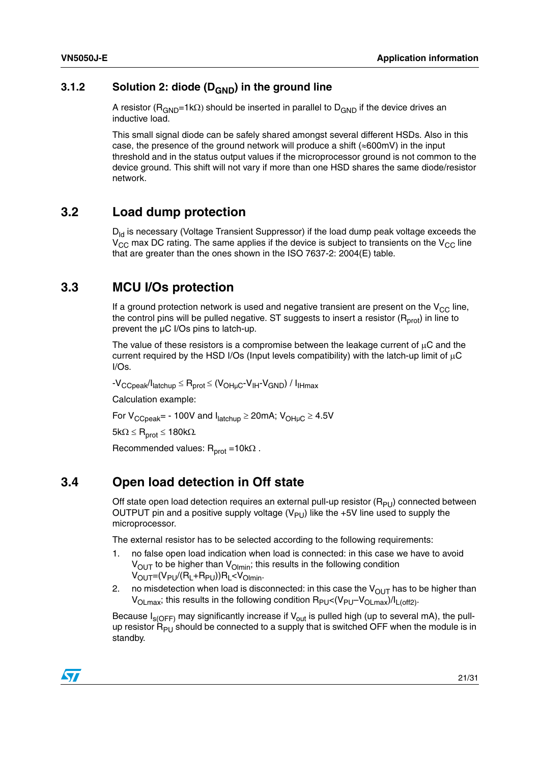### <span id="page-20-0"></span>**3.1.2** Solution 2: diode (D<sub>GND</sub>) in the ground line

A resistor ( $R_{GND}$ =1k $\Omega$ ) should be inserted in parallel to D<sub>GND</sub> if the device drives an inductive load.

This small signal diode can be safely shared amongst several different HSDs. Also in this case, the presence of the ground network will produce a shift ( $\approx$ 600mV) in the input threshold and in the status output values if the microprocessor ground is not common to the device ground. This shift will not vary if more than one HSD shares the same diode/resistor network.

### <span id="page-20-1"></span>**3.2 Load dump protection**

 $D_{\text{Id}}$  is necessary (Voltage Transient Suppressor) if the load dump peak voltage exceeds the  $V_{CC}$  max DC rating. The same applies if the device is subject to transients on the  $V_{CC}$  line that are greater than the ones shown in the ISO 7637-2: 2004(E) table.

### <span id="page-20-2"></span>**3.3 MCU I/Os protection**

If a ground protection network is used and negative transient are present on the  $V_{CC}$  line, the control pins will be pulled negative. ST suggests to insert a resistor  $(R<sub>prot</sub>)$  in line to prevent the µC I/Os pins to latch-up.

The value of these resistors is a compromise between the leakage current of  $\mu$ C and the current required by the HSD I/Os (Input levels compatibility) with the latch-up limit of  $\mu$ C I/Os.

 $-V_{\text{CCoeak}}/I_{\text{latchup}} \leq R_{\text{prot}} \leq (V_{\text{OHuc}}-V_{\text{IH}}-V_{\text{GND}})/I_{\text{IHmax}}$ 

Calculation example:

For  $V_{CCpeak}$  - 100V and  $I_{latchup} \ge 20$  mA;  $V_{OH \mu C} \ge 4.5V$ 

 $5k\Omega \le R_{prot} \le 180k\Omega$ .

Recommended values:  $R_{prot} = 10k\Omega$ .

### <span id="page-20-3"></span>**3.4 Open load detection in Off state**

Off state open load detection requires an external pull-up resistor  $(R_{PI})$  connected between OUTPUT pin and a positive supply voltage  $(V_{\text{PI}})$  like the +5V line used to supply the microprocessor.

The external resistor has to be selected according to the following requirements:

- 1. no false open load indication when load is connected: in this case we have to avoid  $V<sub>OUT</sub>$  to be higher than  $V<sub>Ohnin</sub>$ ; this results in the following condition  $V_{OUT}=(V_{PU}/(R_L+R_{PU}))R_L < V_{Olmin}$ .
- 2. no misdetection when load is disconnected: in this case the  $V_{OUT}$  has to be higher than  $V_{OLmax}$ ; this results in the following condition  $R_{PU} < (V_{PU} - V_{OLmax})/I_{L(off2)}$ .

Because  $I_{s(OFF)}$  may significantly increase if  $V_{out}$  is pulled high (up to several mA), the pullup resistor  $\overline{R}_{PU}$  should be connected to a supply that is switched OFF when the module is in standby.

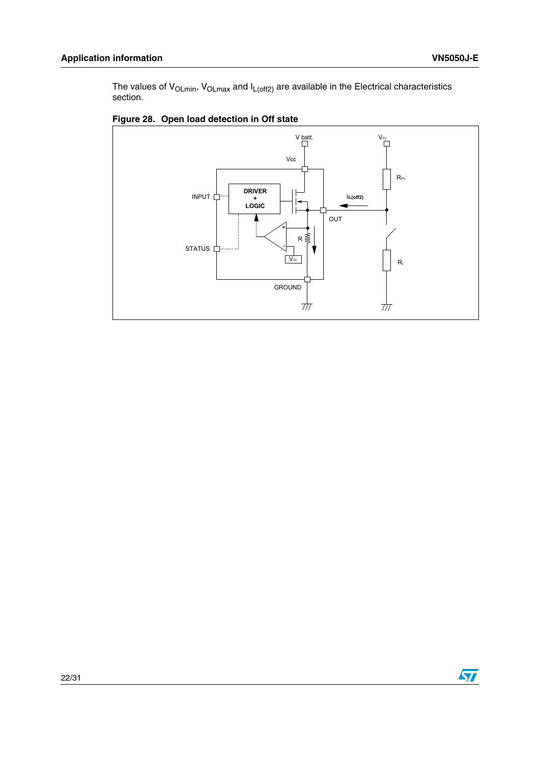The values of V<sub>OLmin</sub>, V<sub>OLmax</sub> and I<sub>L(off2)</sub> are available in the Electrical characteristics section.



### <span id="page-21-0"></span>**Figure 28. Open load detection in Off state**

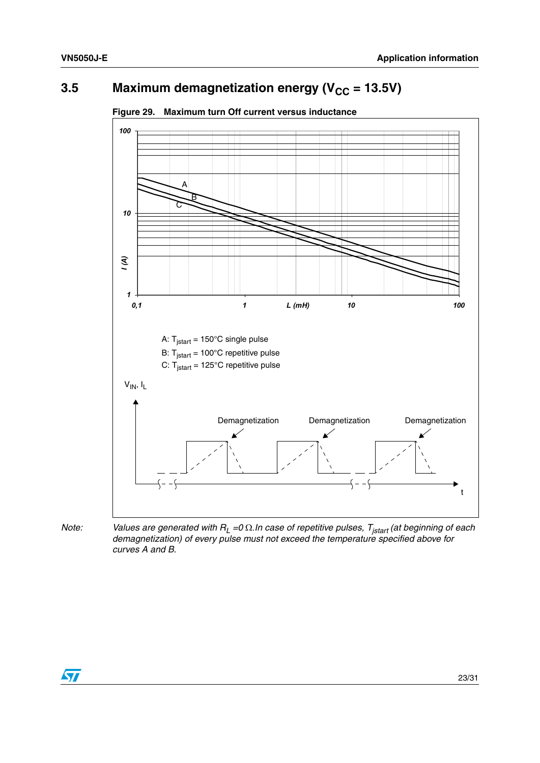## <span id="page-22-0"></span>**3.5** Maximum demagnetization energy ( $V_{CC}$  = 13.5V)



#### <span id="page-22-1"></span>**Figure 29. Maximum turn Off current versus inductance**



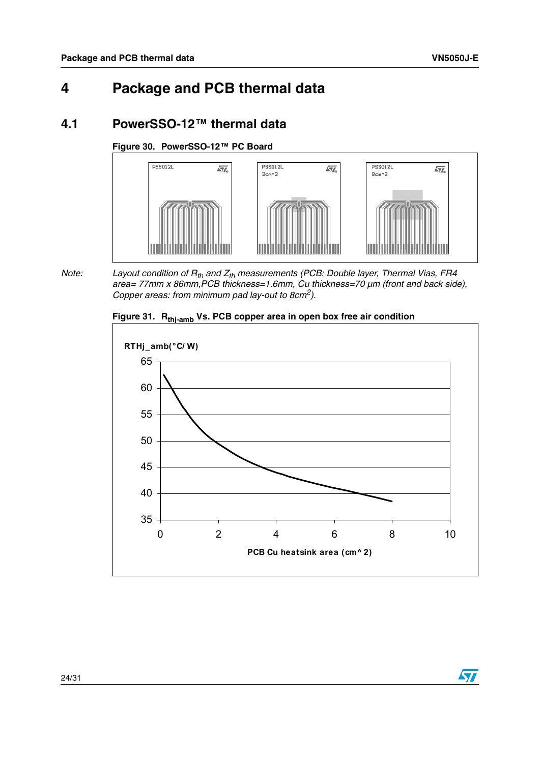## <span id="page-23-0"></span>**4 Package and PCB thermal data**

### <span id="page-23-1"></span>**4.1 PowerSSO-12™ thermal data**

<span id="page-23-2"></span>**Figure 30. PowerSSO-12™ PC Board**



*Note:* Layout condition of R<sub>th</sub> and Z<sub>th</sub> measurements (PCB: Double layer, Thermal Vias, FR4 *area= 77mm x 86mm,PCB thickness=1.6mm, Cu thickness=70 µm (front and back side), Copper areas: from minimum pad lay-out to 8cm2).* 

<span id="page-23-3"></span>

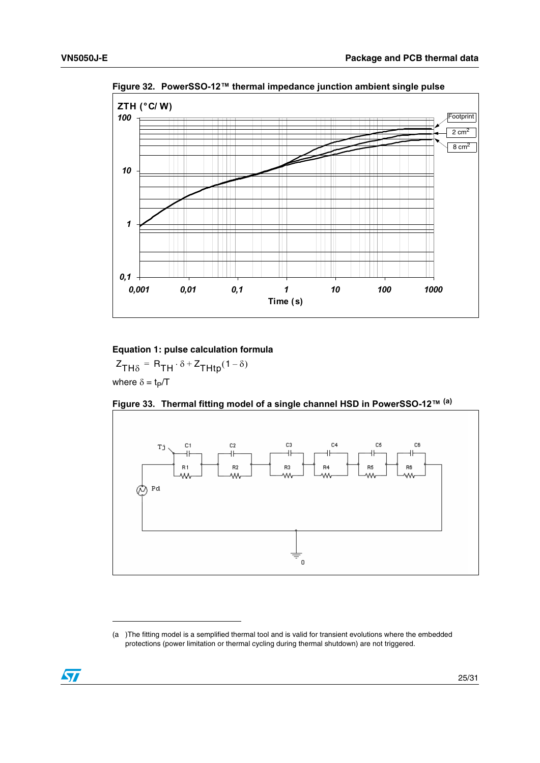

<span id="page-24-0"></span>**Figure 32. PowerSSO-12™ thermal impedance junction ambient single pulse** 

**Equation 1: pulse calculation formula**

where  $\delta = t_P/T$  $Z_{TH\delta} = R_{TH} \cdot \delta + Z_{THtp}(1 - \delta)$ 

<span id="page-24-1"></span>



<sup>(</sup>a )The fitting model is a semplified thermal tool and is valid for transient evolutions where the embedded protections (power limitation or thermal cycling during thermal shutdown) are not triggered.

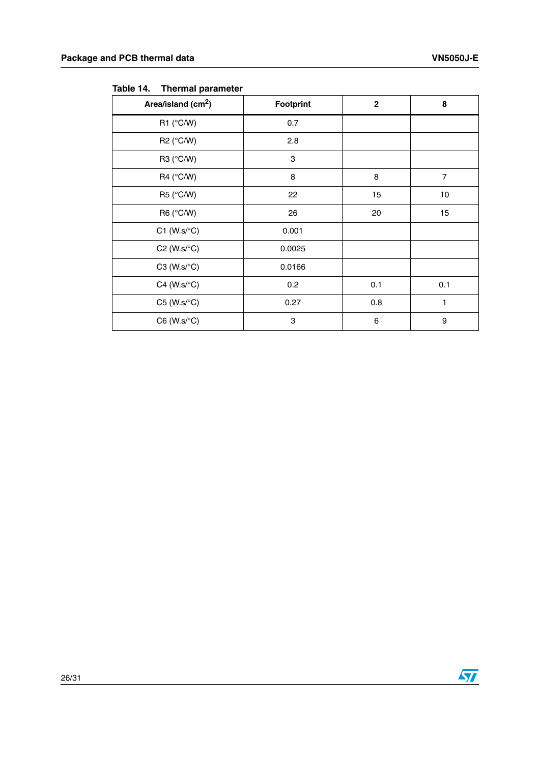| Area/island (cm <sup>2</sup> ) | <b>Footprint</b> | $\mathbf 2$ | 8              |
|--------------------------------|------------------|-------------|----------------|
| R1 $(^{\circ}C/W)$             | 0.7              |             |                |
| R2 (°C/W)                      | 2.8              |             |                |
| R3 (°C/W)                      | 3                |             |                |
| R4 ( $\degree$ C/W)            | 8                | 8           | $\overline{7}$ |
| R5 (°C/W)                      | 22               | 15          | 10             |
| R6 (°C/W)                      | 26               | 20          | 15             |
| $C1$ (W.s/ $\textdegree C$ )   | 0.001            |             |                |
| $C2$ (W.s/ $\textdegree C$ )   | 0.0025           |             |                |
| $C3$ (W.s/ $\textdegree C$ )   | 0.0166           |             |                |
| $C4$ (W.s/ $\textdegree C$ )   | 0.2              | 0.1         | 0.1            |
| $C5$ (W.s/ $\textdegree C$ )   | 0.27             | 0.8         | 1              |
| $C6$ (W.s/ $\textdegree C$ )   | 3                | 6           | 9              |

<span id="page-25-0"></span>**Table 14. Thermal parameter**



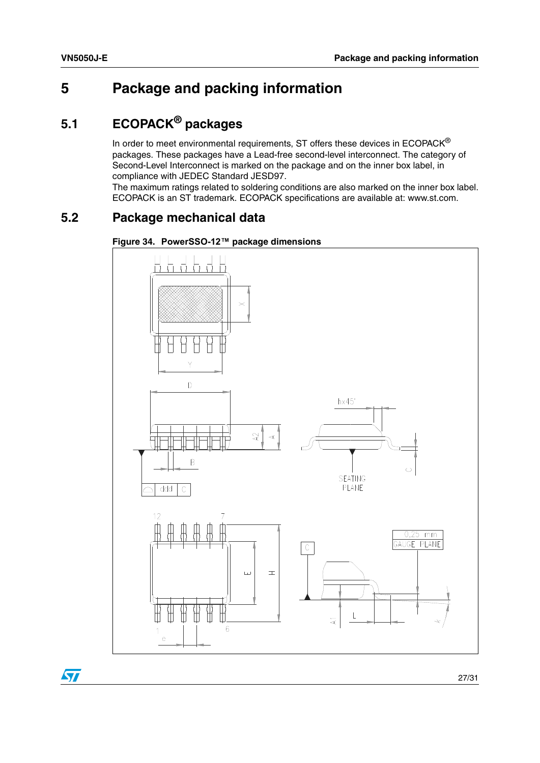## <span id="page-26-0"></span>**5 Package and packing information**

## <span id="page-26-1"></span>**5.1 ECOPACK® packages**

In order to meet environmental requirements, ST offers these devices in  $ECOPACK^{\circledast}$ packages. These packages have a Lead-free second-level interconnect. The category of Second-Level Interconnect is marked on the package and on the inner box label, in compliance with JEDEC Standard JESD97.

The maximum ratings related to soldering conditions are also marked on the inner box label. ECOPACK is an ST trademark. ECOPACK specifications are available at: www.st.com.

### <span id="page-26-2"></span>**5.2 Package mechanical data**

<span id="page-26-3"></span>



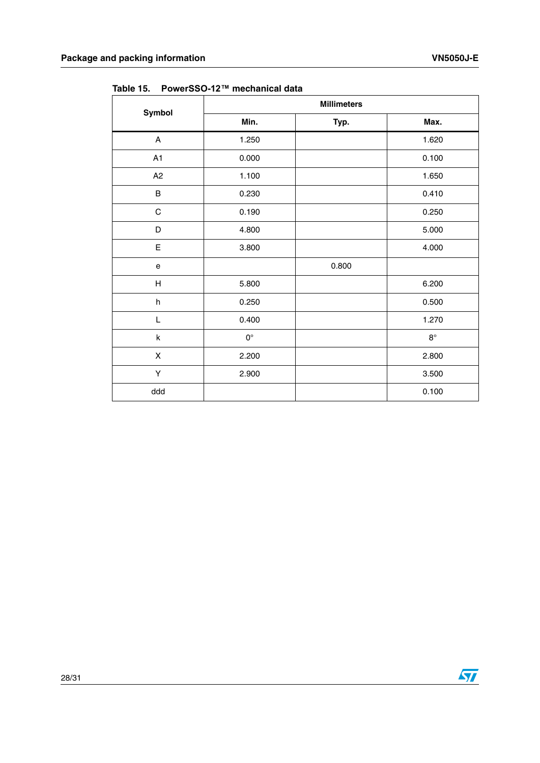|             | <b>Millimeters</b> |       |             |  |  |
|-------------|--------------------|-------|-------------|--|--|
| Symbol      | Min.               | Typ.  | Max.        |  |  |
| A           | 1.250              |       | 1.620       |  |  |
| A1          | 0.000              |       | 0.100       |  |  |
| A2          | 1.100              |       | 1.650       |  |  |
| B           | 0.230              |       | 0.410       |  |  |
| $\mathsf C$ | 0.190              |       | 0.250       |  |  |
| D           | 4.800              |       | 5.000       |  |  |
| E           | 3.800              |       | 4.000       |  |  |
| e           |                    | 0.800 |             |  |  |
| H           | 5.800              |       | 6.200       |  |  |
| h           | 0.250              |       | 0.500       |  |  |
| L           | 0.400              |       | 1.270       |  |  |
| k           | $0^{\circ}$        |       | $8^{\circ}$ |  |  |
| X           | 2.200              |       | 2.800       |  |  |
| Υ           | 2.900              |       | 3.500       |  |  |
| ddd         |                    |       | 0.100       |  |  |

<span id="page-27-0"></span>**Table 15. PowerSSO-12™ mechanical data**

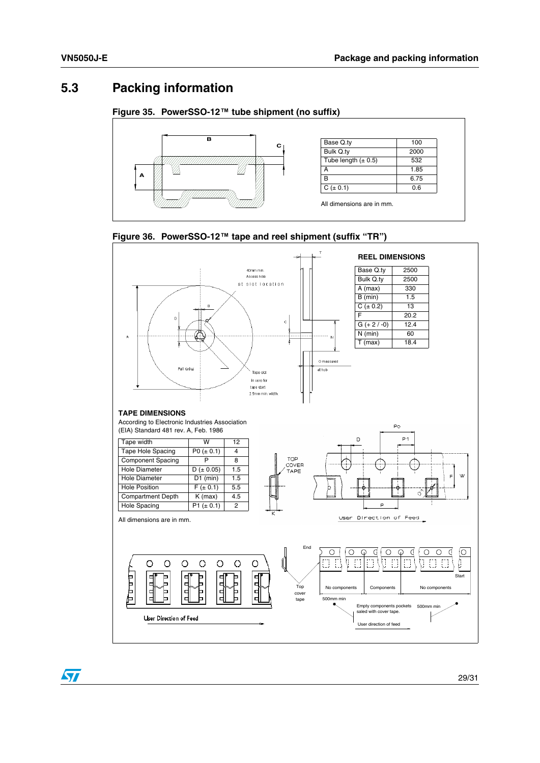### <span id="page-28-0"></span>**5.3 Packing information**

#### <span id="page-28-1"></span>**Figure 35. PowerSSO-12™ tube shipment (no suffix)**



<span id="page-28-2"></span>



 $\sqrt{2}$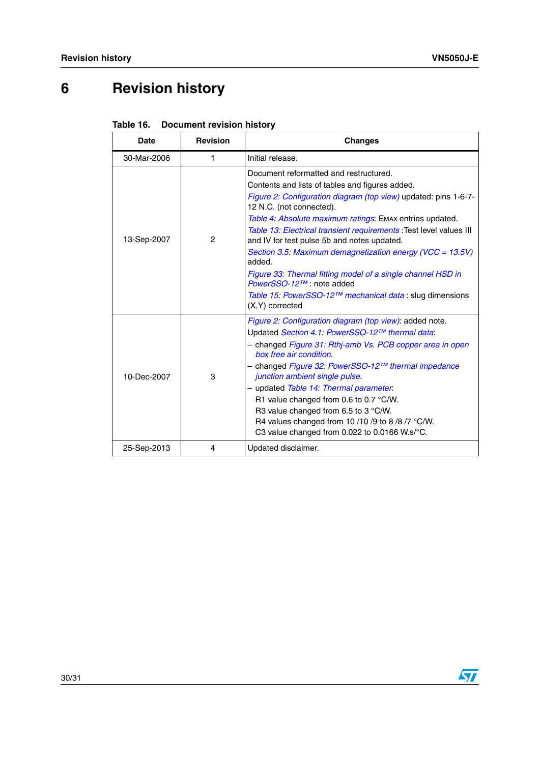# <span id="page-29-0"></span>**6 Revision history**

| Date        | <b>Revision</b> | <b>Changes</b>                                                                                                                                                                                                                                                                                                                                                                                                                                                                                                                                                                                                                |
|-------------|-----------------|-------------------------------------------------------------------------------------------------------------------------------------------------------------------------------------------------------------------------------------------------------------------------------------------------------------------------------------------------------------------------------------------------------------------------------------------------------------------------------------------------------------------------------------------------------------------------------------------------------------------------------|
| 30-Mar-2006 | 1               | Initial release.                                                                                                                                                                                                                                                                                                                                                                                                                                                                                                                                                                                                              |
| 13-Sep-2007 | $\overline{c}$  | Document reformatted and restructured.<br>Contents and lists of tables and figures added.<br>Figure 2: Configuration diagram (top view) updated: pins 1-6-7-<br>12 N.C. (not connected).<br>Table 4: Absolute maximum ratings: EMAX entries updated.<br>Table 13: Electrical transient requirements : Test level values III<br>and IV for test pulse 5b and notes updated.<br>Section 3.5: Maximum demagnetization energy (VCC = 13.5V)<br>added.<br>Figure 33: Thermal fitting model of a single channel HSD in<br>PowerSSO-12™: note added<br>Table 15: PowerSSO-12™ mechanical data : slug dimensions<br>$(X,Y)$ corrected |
| 10-Dec-2007 | 3               | Figure 2: Configuration diagram (top view): added note.<br>Updated Section 4.1: PowerSSO-12™ thermal data:<br>- changed Figure 31: Rthj-amb Vs. PCB copper area in open<br>box free air condition.<br>- changed Figure 32: PowerSSO-12™ thermal impedance<br>junction ambient single pulse.<br>- updated Table 14: Thermal parameter.<br>R1 value changed from 0.6 to 0.7 $\degree$ C/W.<br>R3 value changed from 6.5 to 3 °C/W.<br>R4 values changed from 10/10/9 to 8/8/7 °C/W.<br>C3 value changed from 0.022 to 0.0166 W.s/°C.                                                                                            |
| 25-Sep-2013 | 4               | Updated disclaimer.                                                                                                                                                                                                                                                                                                                                                                                                                                                                                                                                                                                                           |

<span id="page-29-1"></span>

| Table 16. Document revision history |
|-------------------------------------|
|                                     |